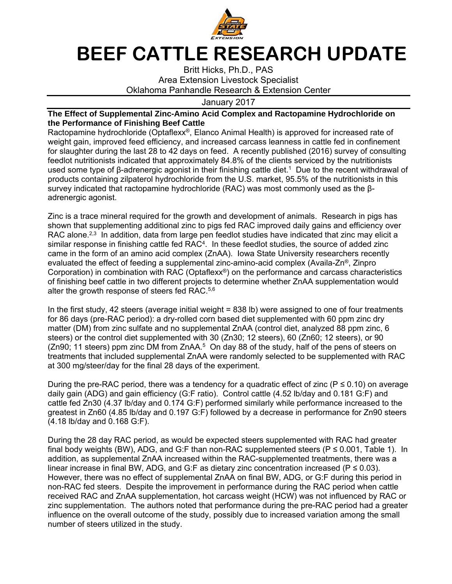

## **BEEF CATTLE RESEARCH UPDATE**

Britt Hicks, Ph.D., PAS Area Extension Livestock Specialist Oklahoma Panhandle Research & Extension Center

## January 2017

## **The Effect of Supplemental Zinc-Amino Acid Complex and Ractopamine Hydrochloride on the Performance of Finishing Beef Cattle**

Ractopamine hydrochloride (Optaflexx®, Elanco Animal Health) is approved for increased rate of weight gain, improved feed efficiency, and increased carcass leanness in cattle fed in confinement for slaughter during the last 28 to 42 days on feed. A recently published (2016) survey of consulting feedlot nutritionists indicated that approximately 84.8% of the clients serviced by the nutritionists used some type of β-adrenergic agonist in their finishing cattle diet.<sup>1</sup> Due to the recent withdrawal of products containing zilpaterol hydrochloride from the U.S. market, 95.5% of the nutritionists in this survey indicated that ractopamine hydrochloride (RAC) was most commonly used as the βadrenergic agonist.

Zinc is a trace mineral required for the growth and development of animals. Research in pigs has shown that supplementing additional zinc to pigs fed RAC improved daily gains and efficiency over RAC alone. $2,3$  In addition, data from large pen feedlot studies have indicated that zinc may elicit a similar response in finishing cattle fed RAC<sup>4</sup>. In these feedlot studies, the source of added zinc came in the form of an amino acid complex (ZnAA). Iowa State University researchers recently evaluated the effect of feeding a supplemental zinc-amino-acid complex (Availa- $\mathsf{Zn}^{\mathsf{e}}$ , Zinpro Corporation) in combination with RAC (Optaflexx®) on the performance and carcass characteristics of finishing beef cattle in two different projects to determine whether ZnAA supplementation would alter the growth response of steers fed RAC.5,6

In the first study, 42 steers (average initial weight = 838 lb) were assigned to one of four treatments for 86 days (pre-RAC period): a dry-rolled corn based diet supplemented with 60 ppm zinc dry matter (DM) from zinc sulfate and no supplemental ZnAA (control diet, analyzed 88 ppm zinc, 6 steers) or the control diet supplemented with 30 (Zn30; 12 steers), 60 (Zn60; 12 steers), or 90 (Zn90; 11 steers) ppm zinc DM from ZnAA.<sup>5</sup> On day 88 of the study, half of the pens of steers on treatments that included supplemental ZnAA were randomly selected to be supplemented with RAC at 300 mg/steer/day for the final 28 days of the experiment.

During the pre-RAC period, there was a tendency for a quadratic effect of zinc ( $P \le 0.10$ ) on average daily gain (ADG) and gain efficiency (G:F ratio). Control cattle (4.52 lb/day and 0.181 G:F) and cattle fed Zn30 (4.37 lb/day and 0.174 G:F) performed similarly while performance increased to the greatest in Zn60 (4.85 lb/day and 0.197 G:F) followed by a decrease in performance for Zn90 steers (4.18 lb/day and 0.168 G:F).

During the 28 day RAC period, as would be expected steers supplemented with RAC had greater final body weights (BW), ADG, and G:F than non-RAC supplemented steers ( $P \le 0.001$ , Table 1). In addition, as supplemental ZnAA increased within the RAC-supplemented treatments, there was a linear increase in final BW, ADG, and G:F as dietary zinc concentration increased ( $P \le 0.03$ ). However, there was no effect of supplemental ZnAA on final BW, ADG, or G:F during this period in non-RAC fed steers. Despite the improvement in performance during the RAC period when cattle received RAC and ZnAA supplementation, hot carcass weight (HCW) was not influenced by RAC or zinc supplementation. The authors noted that performance during the pre-RAC period had a greater influence on the overall outcome of the study, possibly due to increased variation among the small number of steers utilized in the study.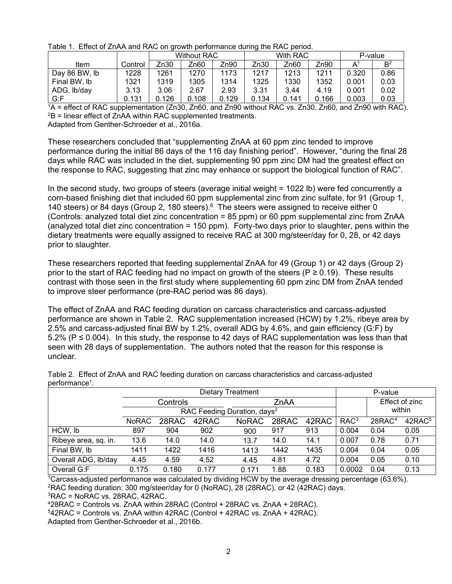| Table 1. Ence of Empty and throw on growin portainance admig the twice police. |         |                    |       |       |          |       |       |         |                |  |  |
|--------------------------------------------------------------------------------|---------|--------------------|-------|-------|----------|-------|-------|---------|----------------|--|--|
|                                                                                |         | <b>Without RAC</b> |       |       | With RAC |       |       | P-value |                |  |  |
| <b>Item</b>                                                                    | Control | Zn30               | Zn60  | Zn90  | Zn30     | Zn60  | Zn90  | А       | B <sup>2</sup> |  |  |
| Day 86 BW, lb                                                                  | 1228    | 1261               | 1270  | 1173  | 1217     | 1213  | 1211  | 0.320   | 0.86           |  |  |
| Final BW, lb                                                                   | 1321    | 1319               | 1305  | 1314  | 1325     | 1330  | 1352  | 0.001   | 0.03           |  |  |
| ADG, Ib/day                                                                    | 3.13    | 3.06               | 2.67  | 2.93  | 3.31     | 3.44  | 4.19  | 0.001   | 0.02           |  |  |
| G:F                                                                            | 0.131   | 0.126              | 0.108 | 0.129 | 0.134    | 0.141 | 0.166 | 0.003   | 0.03           |  |  |

Table 1. Effect of ZnAA and RAC on growth performance during the RAC period.

 $1/4$  = effect of RAC supplementation (Zn30, Zn60, and Zn90 without RAC vs. Zn30, Zn60, and Zn90 with RAC).  $2B$  = linear effect of ZnAA within RAC supplemented treatments. Adapted from Genther-Schroeder et al., 2016a.

These researchers concluded that "supplementing ZnAA at 60 ppm zinc tended to improve performance during the initial 86 days of the 116 day finishing period". However, "during the final 28 days while RAC was included in the diet, supplementing 90 ppm zinc DM had the greatest effect on the response to RAC, suggesting that zinc may enhance or support the biological function of RAC".

In the second study, two groups of steers (average initial weight = 1022 lb) were fed concurrently a corn-based finishing diet that included 60 ppm supplemental zinc from zinc sulfate, for 91 (Group 1, 140 steers) or 84 days (Group 2, 180 steers).<sup>6</sup> The steers were assigned to receive either 0 (Controls: analyzed total diet zinc concentration = 85 ppm) or 60 ppm supplemental zinc from ZnAA (analyzed total diet zinc concentration = 150 ppm). Forty-two days prior to slaughter, pens within the dietary treatments were equally assigned to receive RAC at 300 mg/steer/day for 0, 28, or 42 days prior to slaughter.

These researchers reported that feeding supplemental ZnAA for 49 (Group 1) or 42 days (Group 2) prior to the start of RAC feeding had no impact on growth of the steers ( $P \ge 0.19$ ). These results contrast with those seen in the first study where supplementing 60 ppm zinc DM from ZnAA tended to improve steer performance (pre-RAC period was 86 days).

The effect of ZnAA and RAC feeding duration on carcass characteristics and carcass-adjusted performance are shown in Table 2. RAC supplementation increased (HCW) by 1.2%, ribeye area by 2.5% and carcass-adjusted final BW by 1.2%, overall ADG by 4.6%, and gain efficiency (G:F) by 5.2% ( $P \le 0.004$ ). In this study, the response to 42 days of RAC supplementation was less than that seen with 28 days of supplementation. The authors noted that the reason for this response is unclear.

|                      | Dietary Treatment                       |       |       |              |       |       | P-value          |                    |                    |  |
|----------------------|-----------------------------------------|-------|-------|--------------|-------|-------|------------------|--------------------|--------------------|--|
|                      | Controls                                |       |       | ZnAA         |       |       |                  | Effect of zinc     |                    |  |
|                      | RAC Feeding Duration, days <sup>2</sup> |       |       |              |       |       |                  | within             |                    |  |
|                      | <b>NoRAC</b>                            | 28RAC | 42RAC | <b>NoRAC</b> | 28RAC | 42RAC | RAC <sup>3</sup> | 28RAC <sup>4</sup> | 42RAC <sup>5</sup> |  |
| HCW, lb              | 897                                     | 904   | 902   | 900          | 917   | 913   | 0.004            | 0.04               | 0.05               |  |
| Ribeye area, sq. in. | 13.6                                    | 14.0  | 14.0  | 13.7         | 14.0  | 14.1  | 0.007            | 0.78               | 0.71               |  |
| Final BW, lb         | 1411                                    | 1422  | 1416  | 1413         | 1442  | 1435  | 0.004            | 0.04               | 0.05               |  |
| Overall ADG, lb/day  | 4.45                                    | 4.59  | 4.52  | 4.45         | 4.81  | 4.72  | 0.004            | 0.05               | 0.10               |  |
| Overall G:F          | 0.175                                   | 0.180 | 0.177 | 0.171        | 1.88  | 0.183 | 0.0002           | 0.04               | 0.13               |  |

Table 2. Effect of ZnAA and RAC feeding duration on carcass characteristics and carcass-adjusted performance1.

1Carcass-adjusted performance was calculated by dividing HCW by the average dressing percentage (63.6%). 2RAC feeding duration: 300 mg/steer/day for 0 (NoRAC), 28 (28RAC), or 42 (42RAC) days.

 ${}^{3}$ RAC = NoRAC vs. 28RAC, 42RAC.

428RAC = Controls vs. ZnAA within 28RAC (Control + 28RAC vs. ZnAA + 28RAC).

542RAC = Controls vs. ZnAA within 42RAC (Control + 42RAC vs. ZnAA + 42RAC).

Adapted from Genther-Schroeder et al., 2016b.